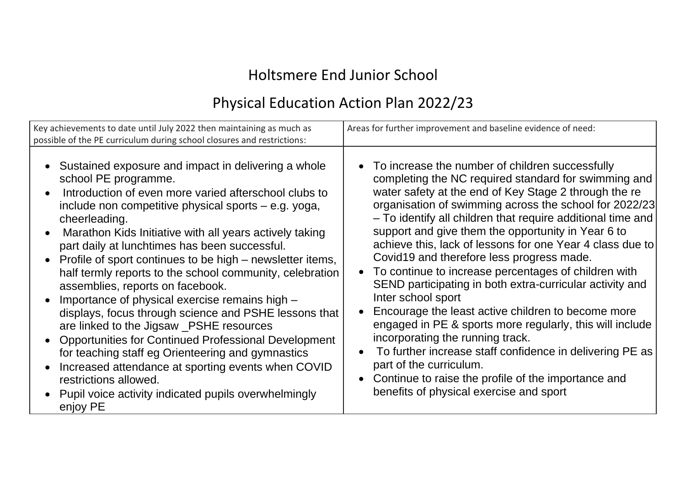# Holtsmere End Junior School

## Physical Education Action Plan 2022/23

| Key achievements to date until July 2022 then maintaining as much as<br>possible of the PE curriculum during school closures and restrictions: | Areas for further improvement and baseline evidence of need: |
|------------------------------------------------------------------------------------------------------------------------------------------------|--------------------------------------------------------------|
| Sustained exposure and impact in delivering a whole                                                                                            | • To increase the number of children successfully            |
| school PE programme.                                                                                                                           | completing the NC required standard for swimming and         |
| Introduction of even more varied afterschool clubs to                                                                                          | water safety at the end of Key Stage 2 through the re        |
| include non competitive physical sports – e.g. yoga,                                                                                           | organisation of swimming across the school for 2022/23       |
| cheerleading.                                                                                                                                  | - To identify all children that require additional time and  |
| Marathon Kids Initiative with all years actively taking                                                                                        | support and give them the opportunity in Year 6 to           |
| part daily at lunchtimes has been successful.                                                                                                  | achieve this, lack of lessons for one Year 4 class due to    |
| Profile of sport continues to be high – newsletter items,                                                                                      | Covid19 and therefore less progress made.                    |
| half termly reports to the school community, celebration                                                                                       | To continue to increase percentages of children with         |
| assemblies, reports on facebook.                                                                                                               | $\bullet$                                                    |
| Importance of physical exercise remains high -                                                                                                 | SEND participating in both extra-curricular activity and     |
| displays, focus through science and PSHE lessons that                                                                                          | Inter school sport                                           |
| are linked to the Jigsaw _PSHE resources                                                                                                       | Encourage the least active children to become more           |
| <b>Opportunities for Continued Professional Development</b>                                                                                    | engaged in PE & sports more regularly, this will include     |
| for teaching staff eg Orienteering and gymnastics                                                                                              | incorporating the running track.                             |
| Increased attendance at sporting events when COVID                                                                                             | To further increase staff confidence in delivering PE as     |
| restrictions allowed.                                                                                                                          | part of the curriculum.                                      |
| Pupil voice activity indicated pupils overwhelmingly                                                                                           | • Continue to raise the profile of the importance and        |
| enjoy PE                                                                                                                                       | benefits of physical exercise and sport                      |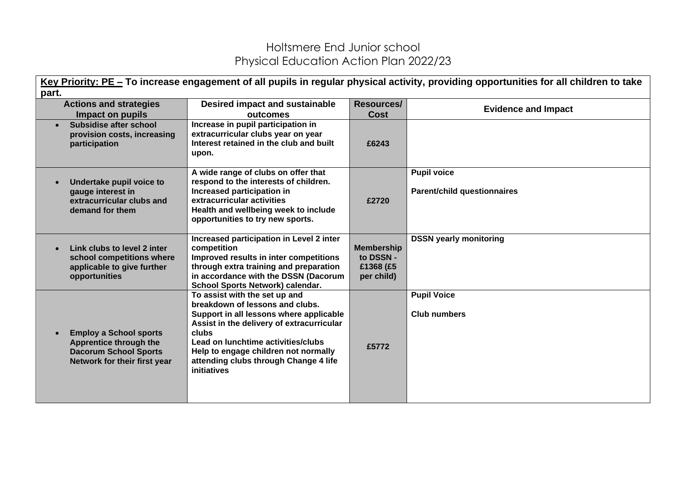| Key Priority: PE - To increase engagement of all pupils in regular physical activity, providing opportunities for all children to take |                                                                                                                                                                                                                                                                                                         |                                                           |                                                          |  |  |
|----------------------------------------------------------------------------------------------------------------------------------------|---------------------------------------------------------------------------------------------------------------------------------------------------------------------------------------------------------------------------------------------------------------------------------------------------------|-----------------------------------------------------------|----------------------------------------------------------|--|--|
| part.                                                                                                                                  |                                                                                                                                                                                                                                                                                                         |                                                           |                                                          |  |  |
| <b>Actions and strategies</b><br>Impact on pupils                                                                                      | <b>Desired impact and sustainable</b><br>outcomes                                                                                                                                                                                                                                                       | <b>Resources/</b><br><b>Cost</b>                          | <b>Evidence and Impact</b>                               |  |  |
| Subsidise after school<br>provision costs, increasing<br>participation                                                                 | Increase in pupil participation in<br>extracurricular clubs year on year<br>Interest retained in the club and built<br>upon.                                                                                                                                                                            | £6243                                                     |                                                          |  |  |
| Undertake pupil voice to<br>gauge interest in<br>extracurricular clubs and<br>demand for them                                          | A wide range of clubs on offer that<br>respond to the interests of children.<br>Increased participation in<br>extracurricular activities<br>Health and wellbeing week to include<br>opportunities to try new sports.                                                                                    | £2720                                                     | <b>Pupil voice</b><br><b>Parent/child questionnaires</b> |  |  |
| Link clubs to level 2 inter<br>$\bullet$<br>school competitions where<br>applicable to give further<br>opportunities                   | Increased participation in Level 2 inter<br>competition<br>Improved results in inter competitions<br>through extra training and preparation<br>in accordance with the DSSN (Dacorum<br>School Sports Network) calendar.                                                                                 | <b>Membership</b><br>to DSSN -<br>£1368 (£5<br>per child) | <b>DSSN yearly monitoring</b>                            |  |  |
| <b>Employ a School sports</b><br>$\bullet$<br>Apprentice through the<br><b>Dacorum School Sports</b><br>Network for their first year   | To assist with the set up and<br>breakdown of lessons and clubs.<br>Support in all lessons where applicable<br>Assist in the delivery of extracurricular<br>clubs<br>Lead on lunchtime activities/clubs<br>Help to engage children not normally<br>attending clubs through Change 4 life<br>initiatives | £5772                                                     | <b>Pupil Voice</b><br><b>Club numbers</b>                |  |  |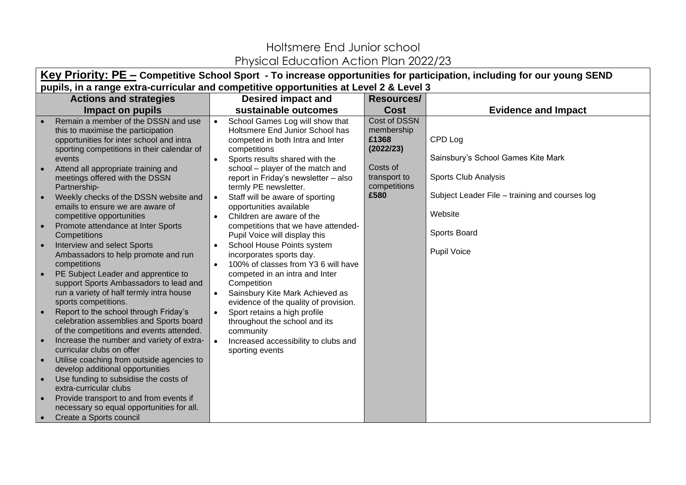| Key Priority: PE – Competitive School Sport - To increase opportunities for participation, including for our young SEND |           |                                                               |                   |                                                |  |
|-------------------------------------------------------------------------------------------------------------------------|-----------|---------------------------------------------------------------|-------------------|------------------------------------------------|--|
| pupils, in a range extra-curricular and competitive opportunities at Level 2 & Level 3                                  |           |                                                               |                   |                                                |  |
| <b>Actions and strategies</b>                                                                                           |           | <b>Desired impact and</b>                                     | <b>Resources/</b> |                                                |  |
| Impact on pupils                                                                                                        |           | sustainable outcomes                                          | <b>Cost</b>       | <b>Evidence and Impact</b>                     |  |
| Remain a member of the DSSN and use                                                                                     |           | School Games Log will show that                               | Cost of DSSN      |                                                |  |
| this to maximise the participation                                                                                      |           | Holtsmere End Junior School has                               | membership        |                                                |  |
| opportunities for inter school and intra                                                                                |           | competed in both Intra and Inter                              | £1368             | CPD Log                                        |  |
| sporting competitions in their calendar of                                                                              |           | competitions                                                  | (2022/23)         |                                                |  |
| events                                                                                                                  |           | Sports results shared with the                                | Costs of          | Sainsbury's School Games Kite Mark             |  |
| Attend all appropriate training and                                                                                     |           | school – player of the match and                              | transport to      | Sports Club Analysis                           |  |
| meetings offered with the DSSN<br>Partnership-                                                                          |           | report in Friday's newsletter - also<br>termly PE newsletter. | competitions      |                                                |  |
| Weekly checks of the DSSN website and                                                                                   |           | Staff will be aware of sporting                               | £580              | Subject Leader File - training and courses log |  |
| emails to ensure we are aware of                                                                                        |           | opportunities available                                       |                   |                                                |  |
| competitive opportunities                                                                                               |           | Children are aware of the                                     |                   | Website                                        |  |
| Promote attendance at Inter Sports                                                                                      |           | competitions that we have attended-                           |                   |                                                |  |
| Competitions                                                                                                            |           | Pupil Voice will display this                                 |                   | Sports Board                                   |  |
| Interview and select Sports                                                                                             |           | School House Points system                                    |                   |                                                |  |
| Ambassadors to help promote and run                                                                                     |           | incorporates sports day.                                      |                   | <b>Pupil Voice</b>                             |  |
| competitions                                                                                                            |           | 100% of classes from Y3 6 will have                           |                   |                                                |  |
| PE Subject Leader and apprentice to                                                                                     |           | competed in an intra and Inter                                |                   |                                                |  |
| support Sports Ambassadors to lead and                                                                                  |           | Competition                                                   |                   |                                                |  |
| run a variety of half termly intra house                                                                                | $\bullet$ | Sainsbury Kite Mark Achieved as                               |                   |                                                |  |
| sports competitions.                                                                                                    |           | evidence of the quality of provision.                         |                   |                                                |  |
| Report to the school through Friday's<br>celebration assemblies and Sports board                                        | $\bullet$ | Sport retains a high profile                                  |                   |                                                |  |
| of the competitions and events attended.                                                                                |           | throughout the school and its<br>community                    |                   |                                                |  |
| Increase the number and variety of extra-                                                                               |           | Increased accessibility to clubs and                          |                   |                                                |  |
| curricular clubs on offer                                                                                               |           | sporting events                                               |                   |                                                |  |
| Utilise coaching from outside agencies to                                                                               |           |                                                               |                   |                                                |  |
| develop additional opportunities                                                                                        |           |                                                               |                   |                                                |  |
| Use funding to subsidise the costs of                                                                                   |           |                                                               |                   |                                                |  |
| extra-curricular clubs                                                                                                  |           |                                                               |                   |                                                |  |
| Provide transport to and from events if                                                                                 |           |                                                               |                   |                                                |  |
| necessary so equal opportunities for all.                                                                               |           |                                                               |                   |                                                |  |
| Create a Sports council                                                                                                 |           |                                                               |                   |                                                |  |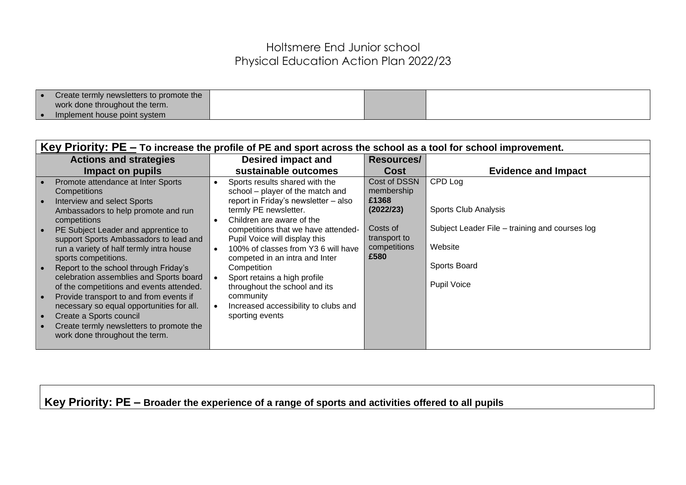| Create termly newsletters to promote the |  |  |
|------------------------------------------|--|--|
| work done throughout the term.           |  |  |
| Implement house point system             |  |  |

| Key Priority: $PE$ – To increase the profile of PE and sport across the school as a tool for school improvement.                                                                                                                                                                                                                                                                                                                                                                                                                                                                                                               |                                                                                                                                                                                                                                                                                                                                                                                                                                                                           |                                                                                                      |                                                                                                                                    |  |
|--------------------------------------------------------------------------------------------------------------------------------------------------------------------------------------------------------------------------------------------------------------------------------------------------------------------------------------------------------------------------------------------------------------------------------------------------------------------------------------------------------------------------------------------------------------------------------------------------------------------------------|---------------------------------------------------------------------------------------------------------------------------------------------------------------------------------------------------------------------------------------------------------------------------------------------------------------------------------------------------------------------------------------------------------------------------------------------------------------------------|------------------------------------------------------------------------------------------------------|------------------------------------------------------------------------------------------------------------------------------------|--|
| <b>Actions and strategies</b>                                                                                                                                                                                                                                                                                                                                                                                                                                                                                                                                                                                                  | Desired impact and                                                                                                                                                                                                                                                                                                                                                                                                                                                        | <b>Resources/</b>                                                                                    |                                                                                                                                    |  |
| Impact on pupils                                                                                                                                                                                                                                                                                                                                                                                                                                                                                                                                                                                                               | sustainable outcomes                                                                                                                                                                                                                                                                                                                                                                                                                                                      | <b>Cost</b>                                                                                          | <b>Evidence and Impact</b>                                                                                                         |  |
| Promote attendance at Inter Sports<br>Competitions<br>Interview and select Sports<br>Ambassadors to help promote and run<br>competitions<br>PE Subject Leader and apprentice to<br>support Sports Ambassadors to lead and<br>run a variety of half termly intra house<br>sports competitions.<br>Report to the school through Friday's<br>celebration assemblies and Sports board<br>of the competitions and events attended.<br>Provide transport to and from events if<br>necessary so equal opportunities for all.<br>Create a Sports council<br>Create termly newsletters to promote the<br>work done throughout the term. | Sports results shared with the<br>school – player of the match and<br>report in Friday's newsletter - also<br>termly PE newsletter.<br>Children are aware of the<br>competitions that we have attended-<br>Pupil Voice will display this<br>100% of classes from Y3 6 will have<br>competed in an intra and Inter<br>Competition<br>Sport retains a high profile<br>throughout the school and its<br>community<br>Increased accessibility to clubs and<br>sporting events | Cost of DSSN<br>membership<br>£1368<br>(2022/23)<br>Costs of<br>transport to<br>competitions<br>£580 | CPD Log<br>Sports Club Analysis<br>Subject Leader File – training and courses log<br>Website<br>Sports Board<br><b>Pupil Voice</b> |  |
|                                                                                                                                                                                                                                                                                                                                                                                                                                                                                                                                                                                                                                |                                                                                                                                                                                                                                                                                                                                                                                                                                                                           |                                                                                                      |                                                                                                                                    |  |

**Key Priority: PE – Broader the experience of a range of sports and activities offered to all pupils**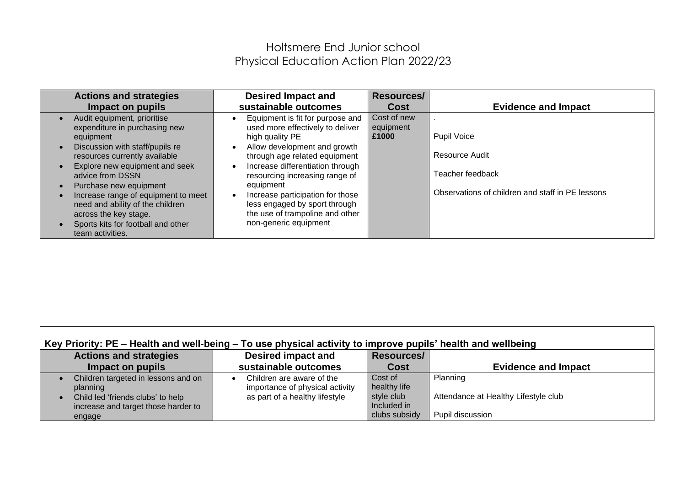| <b>Actions and strategies</b>                                                                                                                                                                                                                                                                                                                                                               | <b>Desired Impact and</b>                                                                                                                                                                                                                                                                                                                                                    | <b>Resources/</b>                 | <b>Evidence and Impact</b>                                                                                   |
|---------------------------------------------------------------------------------------------------------------------------------------------------------------------------------------------------------------------------------------------------------------------------------------------------------------------------------------------------------------------------------------------|------------------------------------------------------------------------------------------------------------------------------------------------------------------------------------------------------------------------------------------------------------------------------------------------------------------------------------------------------------------------------|-----------------------------------|--------------------------------------------------------------------------------------------------------------|
| Impact on pupils                                                                                                                                                                                                                                                                                                                                                                            | sustainable outcomes                                                                                                                                                                                                                                                                                                                                                         | Cost                              |                                                                                                              |
| Audit equipment, prioritise<br>expenditure in purchasing new<br>equipment<br>Discussion with staff/pupils re<br>resources currently available<br>Explore new equipment and seek<br>advice from DSSN<br>Purchase new equipment<br>Increase range of equipment to meet<br>need and ability of the children<br>across the key stage.<br>Sports kits for football and other<br>team activities. | Equipment is fit for purpose and<br>used more effectively to deliver<br>high quality PE<br>Allow development and growth<br>through age related equipment<br>Increase differentiation through<br>resourcing increasing range of<br>equipment<br>Increase participation for those<br>less engaged by sport through<br>the use of trampoline and other<br>non-generic equipment | Cost of new<br>equipment<br>£1000 | <b>Pupil Voice</b><br>Resource Audit<br>Teacher feedback<br>Observations of children and staff in PE lessons |

| Key Priority: PE – Health and well-being – To use physical activity to improve pupils' health and wellbeing |                                 |                   |                                      |  |  |
|-------------------------------------------------------------------------------------------------------------|---------------------------------|-------------------|--------------------------------------|--|--|
| <b>Actions and strategies</b>                                                                               | Desired impact and              | <b>Resources/</b> |                                      |  |  |
| Impact on pupils                                                                                            | sustainable outcomes            | <b>Cost</b>       | <b>Evidence and Impact</b>           |  |  |
| Children targeted in lessons and on                                                                         | Children are aware of the       | Cost of           | Planning                             |  |  |
| planning                                                                                                    | importance of physical activity | healthy life      |                                      |  |  |
| Child led 'friends clubs' to help                                                                           | as part of a healthy lifestyle  | style club        | Attendance at Healthy Lifestyle club |  |  |
| increase and target those harder to                                                                         |                                 | Included in       |                                      |  |  |
| engage                                                                                                      |                                 | clubs subsidy     | Pupil discussion                     |  |  |

ा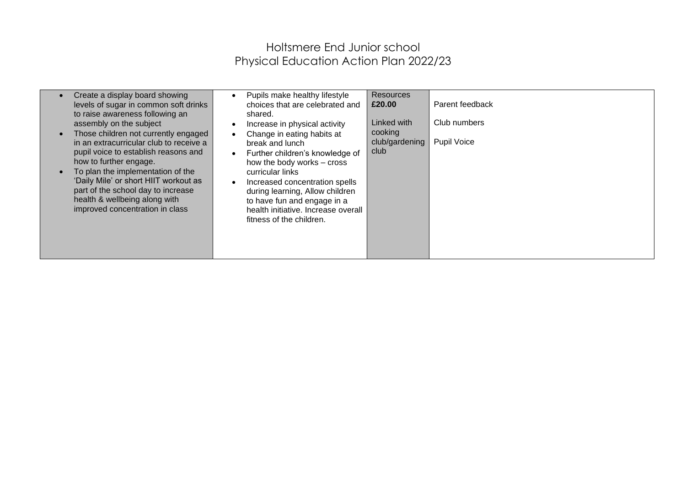| Create a display board showing<br>$\bullet$<br>levels of sugar in common soft drinks<br>to raise awareness following an<br>assembly on the subject<br>Those children not currently engaged<br>$\bullet$<br>in an extracurricular club to receive a<br>pupil voice to establish reasons and<br>how to further engage.<br>To plan the implementation of the<br>$\bullet$<br>'Daily Mile' or short HIIT workout as<br>part of the school day to increase<br>health & wellbeing along with<br>improved concentration in class | Pupils make healthy lifestyle<br>choices that are celebrated and<br>shared.<br>Increase in physical activity<br>Change in eating habits at<br>break and lunch<br>Further children's knowledge of<br>how the body works - cross<br>curricular links<br>Increased concentration spells<br>during learning, Allow children<br>to have fun and engage in a<br>health initiative. Increase overall<br>fitness of the children. | <b>Resources</b><br>£20.00<br>Linked with<br>cooking<br>club/gardening<br>club | Parent feedback<br>Club numbers<br><b>Pupil Voice</b> |
|---------------------------------------------------------------------------------------------------------------------------------------------------------------------------------------------------------------------------------------------------------------------------------------------------------------------------------------------------------------------------------------------------------------------------------------------------------------------------------------------------------------------------|---------------------------------------------------------------------------------------------------------------------------------------------------------------------------------------------------------------------------------------------------------------------------------------------------------------------------------------------------------------------------------------------------------------------------|--------------------------------------------------------------------------------|-------------------------------------------------------|
|---------------------------------------------------------------------------------------------------------------------------------------------------------------------------------------------------------------------------------------------------------------------------------------------------------------------------------------------------------------------------------------------------------------------------------------------------------------------------------------------------------------------------|---------------------------------------------------------------------------------------------------------------------------------------------------------------------------------------------------------------------------------------------------------------------------------------------------------------------------------------------------------------------------------------------------------------------------|--------------------------------------------------------------------------------|-------------------------------------------------------|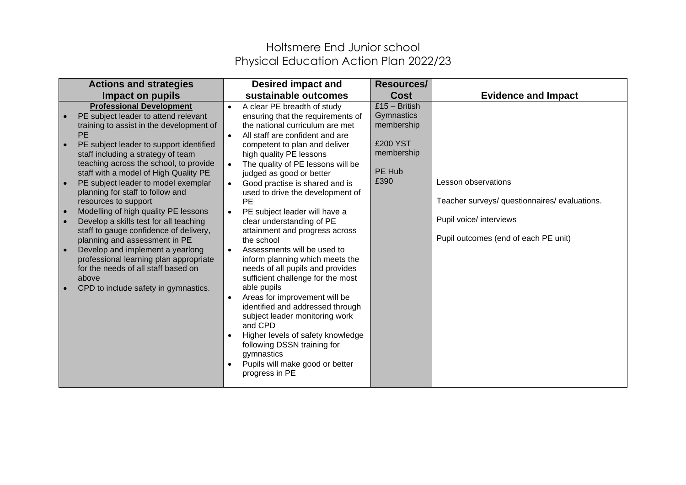|           | <b>Actions and strategies</b>                                                                                                                                                                                                                                                                                                                                                                                                                                                                                                                                                                                                                                                                                                              |                                                                            | <b>Desired impact and</b>                                                                                                                                                                                                                                                                                                                                                                                                                                                                                                                                                                                                                                                                                                                                                                                                                                                               | <b>Resources/</b>                                                                       |                                                                                                                                         |
|-----------|--------------------------------------------------------------------------------------------------------------------------------------------------------------------------------------------------------------------------------------------------------------------------------------------------------------------------------------------------------------------------------------------------------------------------------------------------------------------------------------------------------------------------------------------------------------------------------------------------------------------------------------------------------------------------------------------------------------------------------------------|----------------------------------------------------------------------------|-----------------------------------------------------------------------------------------------------------------------------------------------------------------------------------------------------------------------------------------------------------------------------------------------------------------------------------------------------------------------------------------------------------------------------------------------------------------------------------------------------------------------------------------------------------------------------------------------------------------------------------------------------------------------------------------------------------------------------------------------------------------------------------------------------------------------------------------------------------------------------------------|-----------------------------------------------------------------------------------------|-----------------------------------------------------------------------------------------------------------------------------------------|
|           | Impact on pupils                                                                                                                                                                                                                                                                                                                                                                                                                                                                                                                                                                                                                                                                                                                           |                                                                            | sustainable outcomes                                                                                                                                                                                                                                                                                                                                                                                                                                                                                                                                                                                                                                                                                                                                                                                                                                                                    | <b>Cost</b>                                                                             | <b>Evidence and Impact</b>                                                                                                              |
| $\bullet$ | <b>Professional Development</b><br>PE subject leader to attend relevant<br>training to assist in the development of<br><b>PE</b><br>PE subject leader to support identified<br>staff including a strategy of team<br>teaching across the school, to provide<br>staff with a model of High Quality PE<br>PE subject leader to model exemplar<br>planning for staff to follow and<br>resources to support<br>Modelling of high quality PE lessons<br>Develop a skills test for all teaching<br>staff to gauge confidence of delivery,<br>planning and assessment in PE<br>Develop and implement a yearlong<br>professional learning plan appropriate<br>for the needs of all staff based on<br>above<br>CPD to include safety in gymnastics. | $\bullet$<br>$\bullet$<br>$\bullet$<br>$\bullet$<br>$\bullet$<br>$\bullet$ | A clear PE breadth of study<br>ensuring that the requirements of<br>the national curriculum are met<br>All staff are confident and are<br>competent to plan and deliver<br>high quality PE lessons<br>The quality of PE lessons will be<br>judged as good or better<br>Good practise is shared and is<br>used to drive the development of<br><b>PE</b><br>PE subject leader will have a<br>clear understanding of PE<br>attainment and progress across<br>the school<br>Assessments will be used to<br>inform planning which meets the<br>needs of all pupils and provides<br>sufficient challenge for the most<br>able pupils<br>Areas for improvement will be<br>identified and addressed through<br>subject leader monitoring work<br>and CPD<br>Higher levels of safety knowledge<br>following DSSN training for<br>gymnastics<br>Pupils will make good or better<br>progress in PE | $£15 - British$<br>Gymnastics<br>membership<br>£200 YST<br>membership<br>PE Hub<br>£390 | Lesson observations<br>Teacher surveys/ questionnaires/ evaluations.<br>Pupil voice/ interviews<br>Pupil outcomes (end of each PE unit) |
|           |                                                                                                                                                                                                                                                                                                                                                                                                                                                                                                                                                                                                                                                                                                                                            |                                                                            |                                                                                                                                                                                                                                                                                                                                                                                                                                                                                                                                                                                                                                                                                                                                                                                                                                                                                         |                                                                                         |                                                                                                                                         |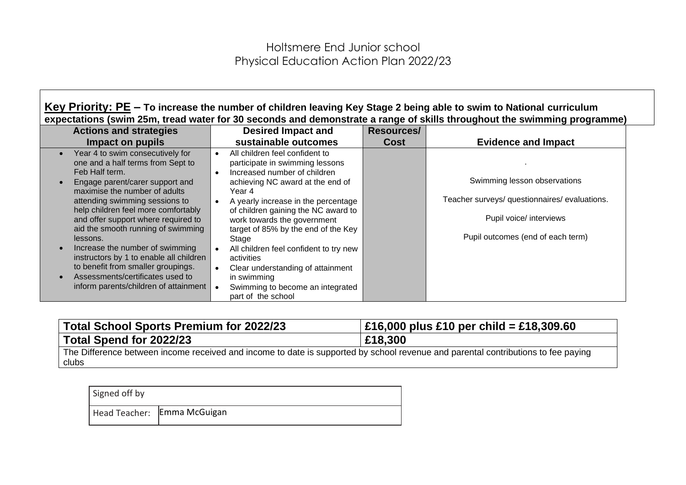**Key Priority: PE – To increase the number of children leaving Key Stage 2 being able to swim to National curriculum expectations (swim 25m, tread water for 30 seconds and demonstrate a range of skills throughout the swimming programme)**

| <b>Actions and strategies</b>                                                                                                                                                                                                                                                                                                                                                                                                                                                                                                  | <b>Desired Impact and</b>                                                                                                                                                                                                                                                                                                                                                                                                                                                          | Resources/  |                                                                                                                                               |
|--------------------------------------------------------------------------------------------------------------------------------------------------------------------------------------------------------------------------------------------------------------------------------------------------------------------------------------------------------------------------------------------------------------------------------------------------------------------------------------------------------------------------------|------------------------------------------------------------------------------------------------------------------------------------------------------------------------------------------------------------------------------------------------------------------------------------------------------------------------------------------------------------------------------------------------------------------------------------------------------------------------------------|-------------|-----------------------------------------------------------------------------------------------------------------------------------------------|
| Impact on pupils                                                                                                                                                                                                                                                                                                                                                                                                                                                                                                               | sustainable outcomes                                                                                                                                                                                                                                                                                                                                                                                                                                                               | <b>Cost</b> | <b>Evidence and Impact</b>                                                                                                                    |
| Year 4 to swim consecutively for<br>one and a half terms from Sept to<br>Feb Half term.<br>Engage parent/carer support and<br>maximise the number of adults<br>attending swimming sessions to<br>help children feel more comfortably<br>and offer support where required to<br>aid the smooth running of swimming<br>lessons.<br>Increase the number of swimming<br>instructors by 1 to enable all children<br>to benefit from smaller groupings.<br>Assessments/certificates used to<br>inform parents/children of attainment | All children feel confident to<br>participate in swimming lessons<br>Increased number of children<br>achieving NC award at the end of<br>Year 4<br>A yearly increase in the percentage<br>of children gaining the NC award to<br>work towards the government<br>target of 85% by the end of the Key<br>Stage<br>All children feel confident to try new<br>activities<br>Clear understanding of attainment<br>in swimming<br>Swimming to become an integrated<br>part of the school |             | Swimming lesson observations<br>Teacher surveys/ questionnaires/ evaluations.<br>Pupil voice/ interviews<br>Pupil outcomes (end of each term) |

| Total School Sports Premium for 2022/23                                                                                                    | $\pm 16,000$ plus £10 per child = £18,309.60 |
|--------------------------------------------------------------------------------------------------------------------------------------------|----------------------------------------------|
| Total Spend for 2022/23                                                                                                                    | £18,300                                      |
| The Difference between income received and income to date is supported by school revenue and parental contributions to fee paying<br>clubs |                                              |

| Signed off by |                               |
|---------------|-------------------------------|
|               | Head Teacher:   Emma McGuigan |